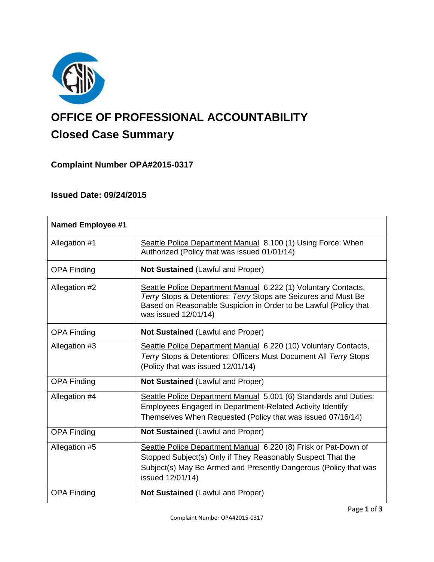

# **OFFICE OF PROFESSIONAL ACCOUNTABILITY Closed Case Summary**

# **Complaint Number OPA#2015-0317**

# **Issued Date: 09/24/2015**

| <b>Named Employee #1</b> |                                                                                                                                                                                                                              |
|--------------------------|------------------------------------------------------------------------------------------------------------------------------------------------------------------------------------------------------------------------------|
| Allegation #1            | Seattle Police Department Manual 8.100 (1) Using Force: When<br>Authorized (Policy that was issued 01/01/14)                                                                                                                 |
| <b>OPA Finding</b>       | Not Sustained (Lawful and Proper)                                                                                                                                                                                            |
| Allegation #2            | Seattle Police Department Manual 6.222 (1) Voluntary Contacts,<br>Terry Stops & Detentions: Terry Stops are Seizures and Must Be<br>Based on Reasonable Suspicion in Order to be Lawful (Policy that<br>was issued 12/01/14) |
| <b>OPA Finding</b>       | <b>Not Sustained (Lawful and Proper)</b>                                                                                                                                                                                     |
| Allegation #3            | Seattle Police Department Manual 6.220 (10) Voluntary Contacts,<br>Terry Stops & Detentions: Officers Must Document All Terry Stops<br>(Policy that was issued 12/01/14)                                                     |
| <b>OPA Finding</b>       | Not Sustained (Lawful and Proper)                                                                                                                                                                                            |
| Allegation #4            | Seattle Police Department Manual 5.001 (6) Standards and Duties:<br>Employees Engaged in Department-Related Activity Identify<br>Themselves When Requested (Policy that was issued 07/16/14)                                 |
| <b>OPA Finding</b>       | <b>Not Sustained (Lawful and Proper)</b>                                                                                                                                                                                     |
| Allegation #5            | Seattle Police Department Manual 6.220 (8) Frisk or Pat-Down of<br>Stopped Subject(s) Only if They Reasonably Suspect That the<br>Subject(s) May Be Armed and Presently Dangerous (Policy that was<br>issued 12/01/14)       |
| <b>OPA Finding</b>       | <b>Not Sustained (Lawful and Proper)</b>                                                                                                                                                                                     |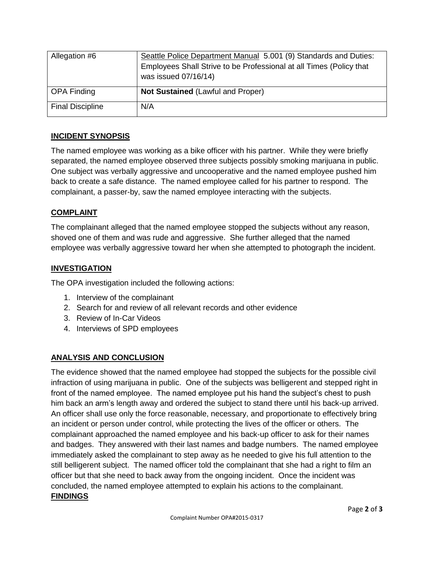| Allegation #6           | Seattle Police Department Manual 5.001 (9) Standards and Duties:<br>Employees Shall Strive to be Professional at all Times (Policy that<br>was issued 07/16/14) |
|-------------------------|-----------------------------------------------------------------------------------------------------------------------------------------------------------------|
| OPA Finding             | <b>Not Sustained (Lawful and Proper)</b>                                                                                                                        |
| <b>Final Discipline</b> | N/A                                                                                                                                                             |

# **INCIDENT SYNOPSIS**

The named employee was working as a bike officer with his partner. While they were briefly separated, the named employee observed three subjects possibly smoking marijuana in public. One subject was verbally aggressive and uncooperative and the named employee pushed him back to create a safe distance. The named employee called for his partner to respond. The complainant, a passer-by, saw the named employee interacting with the subjects.

# **COMPLAINT**

The complainant alleged that the named employee stopped the subjects without any reason, shoved one of them and was rude and aggressive. She further alleged that the named employee was verbally aggressive toward her when she attempted to photograph the incident.

## **INVESTIGATION**

The OPA investigation included the following actions:

- 1. Interview of the complainant
- 2. Search for and review of all relevant records and other evidence
- 3. Review of In-Car Videos
- 4. Interviews of SPD employees

# **ANALYSIS AND CONCLUSION**

The evidence showed that the named employee had stopped the subjects for the possible civil infraction of using marijuana in public. One of the subjects was belligerent and stepped right in front of the named employee. The named employee put his hand the subject's chest to push him back an arm's length away and ordered the subject to stand there until his back-up arrived. An officer shall use only the force reasonable, necessary, and proportionate to effectively bring an incident or person under control, while protecting the lives of the officer or others. The complainant approached the named employee and his back-up officer to ask for their names and badges. They answered with their last names and badge numbers. The named employee immediately asked the complainant to step away as he needed to give his full attention to the still belligerent subject. The named officer told the complainant that she had a right to film an officer but that she need to back away from the ongoing incident. Once the incident was concluded, the named employee attempted to explain his actions to the complainant. **FINDINGS**